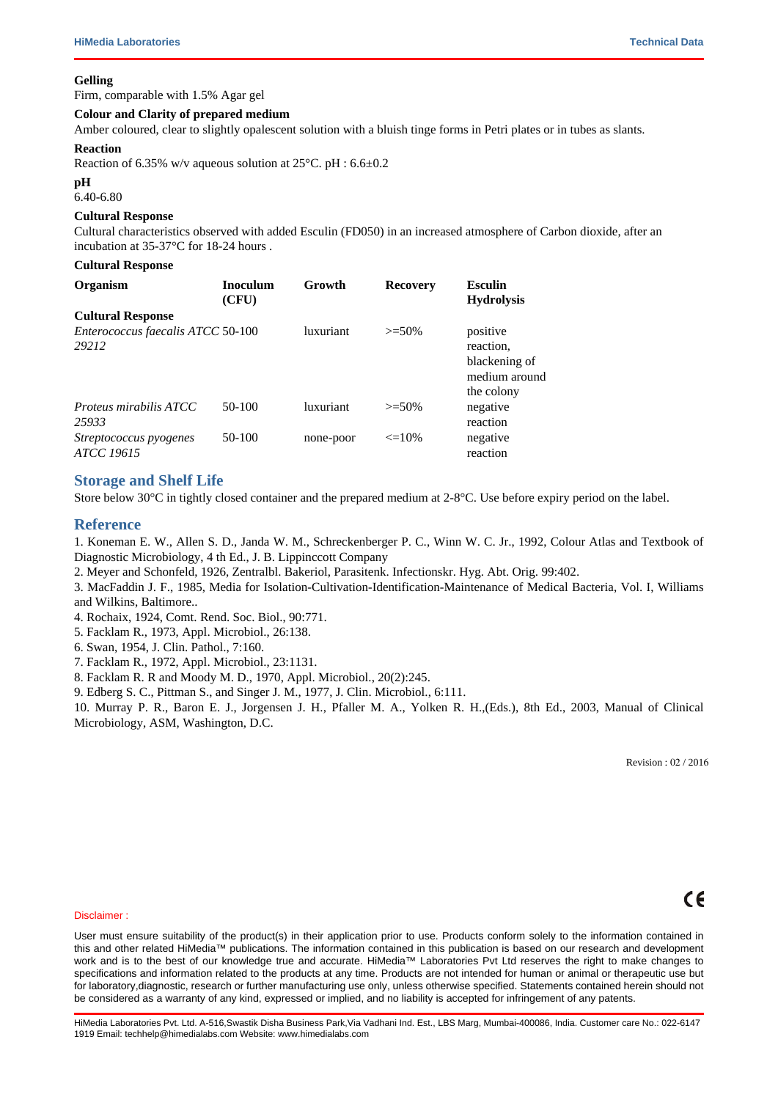# **Specimen Collection and Handling:**

)RU IRRG DQG GDLU\ VDPSOHV IROORZ DSSURSULDWH WHFKQLTXHV IRU VDPSO )RU ZDWHU VDPSOHV IROORZ DSSURSULDWH WHFKQLTXHV IRU VDPSOH FROOH gufs vtf dpoubn obufe nbufs bmt/tu cf tufs m fe c bvupdmbwoof apsfe tdbse oh/

# **Quality Control**

#### **Appearance**

Cream to brownish yellow homogeneous free flowing powder

#### **Gelling**

Firm, comparable with 1.5% Agar gel

## **Colour and Clarity of prepared medium**

Amber coloured, clear to slightly opalescent solution with a bluish tinge forms in Petri plates or in tubes as slants.

### **Reaction**

Reaction of 6.35% w/v aqueous solution at 25°C. pH : 6.6±0.2

### **pH**

6.40-6.80

### **Cultural Response**

Cultural characteristics observed with added Esculin (FD050) in an increased atmosphere of Carbon dioxide, after an incubation at 35-37°C for 18-24 hours .

| Organism                                   | <b>Inoculum</b><br>(CFU) | Growth           | <b>Recovery</b> | Esculin<br><b>Hydrolysis</b>                                          |
|--------------------------------------------|--------------------------|------------------|-----------------|-----------------------------------------------------------------------|
| Enterococcus faecalis ATCC 50-100<br>29212 |                          | <i>luxuriant</i> | $>= 50%$        | positive<br>reaction.<br>blackening of<br>medium around<br>the colony |
| Proteus mirabilis ATCC<br>25933            | $50-100$                 | luxuriant        | $>= 50%$        | negative<br>reaction                                                  |
| Streptococcus pyogenes<br>ATCC 19615       | 50-100                   | none-poor        | $\leq$ 10%      | negative<br>reaction                                                  |